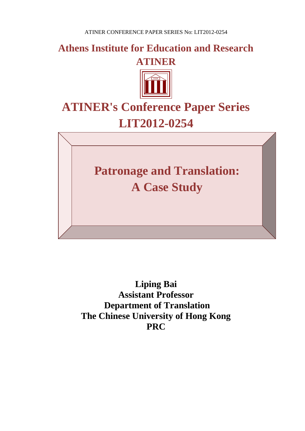**Athens Institute for Education and Research**





# **ATINER's Conference Paper Series LIT2012-0254**

**Patronage and Translation: A Case Study**

**Liping Bai Assistant Professor Department of Translation The Chinese University of Hong Kong PRC**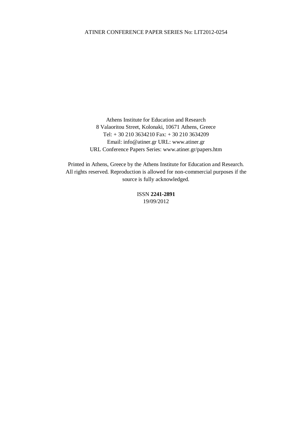Athens Institute for Education and Research 8 Valaoritou Street, Kolonaki, 10671 Athens, Greece Tel: + 30 210 3634210 Fax: + 30 210 3634209 Email: info@atiner.gr URL: www.atiner.gr URL Conference Papers Series: www.atiner.gr/papers.htm

Printed in Athens, Greece by the Athens Institute for Education and Research. All rights reserved. Reproduction is allowed for non-commercial purposes if the source is fully acknowledged.

> ISSN **2241-2891** 19/09/2012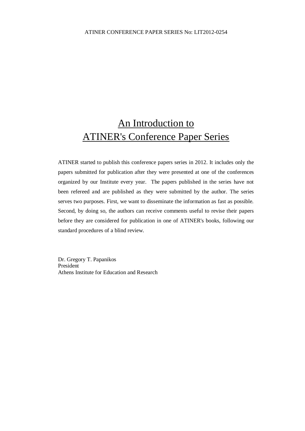# An Introduction to ATINER's Conference Paper Series

ATINER started to publish this conference papers series in 2012. It includes only the papers submitted for publication after they were presented at one of the conferences organized by our Institute every year. The papers published in the series have not been refereed and are published as they were submitted by the author. The series serves two purposes. First, we want to disseminate the information as fast as possible. Second, by doing so, the authors can receive comments useful to revise their papers before they are considered for publication in one of ATINER's books, following our standard procedures of a blind review.

Dr. Gregory T. Papanikos President Athens Institute for Education and Research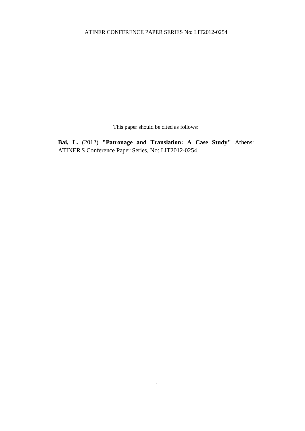This paper should be cited as follows:

**Bai, L.** (2012) **"Patronage and Translation: A Case Study"** Athens: ATINER'S Conference Paper Series, No: LIT2012-0254.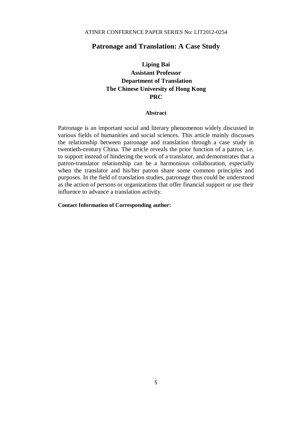## **Patronage and Translation: A Case Study**

# **Liping Bai Assistant Professor Department of Translation The Chinese University of Hong Kong PRC**

#### **Abstract**

Patronage is an important social and literary phenomenon widely discussed in various fields of humanities and social sciences. This article mainly discusses the relationship between patronage and translation through a case study in twentieth-century China. The article reveals the prior function of a patron, i.e. to support instead of hindering the work of a translator, and demonstrates that a patron-translator relationship can be a harmonious collaboration, especially when the translator and his/her patron share some common principles and purposes. In the field of translation studies, patronage thus could be understood as the action of persons or organizations that offer financial support or use their influence to advance a translation activity.

#### **Contact Information of Corresponding author:**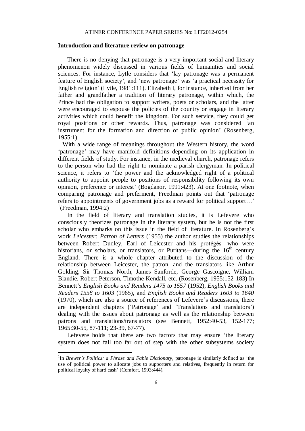#### **Introduction and literature review on patronage**

There is no denying that patronage is a very important social and literary phenomenon widely discussed in various fields of humanities and social sciences. For instance, Lytle considers that 'lay patronage was a permanent feature of English society', and 'new patronage' was 'a practical necessity for English religion' (Lytle, 1981:111). Elizabeth I, for instance, inherited from her father and grandfather a tradition of literary patronage, within which, the Prince had the obligation to support writers, poets or scholars, and the latter were encouraged to espouse the policies of the country or engage in literary activities which could benefit the kingdom. For such service, they could get royal positions or other rewards. Thus, patronage was considered 'an instrument for the formation and direction of public opinion' (Rosenberg, 1955:1).

 With a wide range of meanings throughout the Western history, the word 'patronage' may have manifold definitions depending on its application in different fields of study. For instance, in the medieval church, patronage refers to the person who had the right to nominate a parish clergyman. In political science, it refers to 'the power and the acknowledged right of a political authority to appoint people to positions of responsibility following its own opinion, preference or interest' (Bogdanor, 1991:423). At one footnote, when comparing patronage and preferment, Freedman points out that 'patronage refers to appointments of government jobs as a reward for political support…'  $\prod_{1}^{1}$ (Freedman, 1994:2)

In the field of literary and translation studies, it is Lefevere who consciously theorizes patronage in the literary system, but he is not the first scholar who embarks on this issue in the field of literature. In Rosenberg's work *Leicester: Patron of Letters* (1955) the author studies the relationships between Robert Dudley, Earl of Leicester and his protégés—who were historians, or scholars, or translators, or Puritans—during the  $16<sup>th</sup>$  century England. There is a whole chapter attributed to the discussion of the relationship between Leicester, the patron, and the translators like Arthur Golding, Sir Thomas North, James Sanforde, George Gascoigne, William Blandie, Robert Peterson, Timothe Kendall, etc. (Rosenberg, 1955:152-183) In Bennett's *English Books and Readers 1475 to 1557* (1952), *English Books and Readers 1558 to 1603* (1965), and *English Books and Readers 1603 to 1640*  (1970), which are also a source of references of Lefevere's discussions, there are independent chapters ('Patronage' and 'Translations and translators') dealing with the issues about patronage as well as the relationship between patrons and translations/translators (see Bennett, 1952:40-53, 152-177; 1965:30-55, 87-111; 23-39, 67-77).

Lefevere holds that there are two factors that may ensure 'the literary system does not fall too far out of step with the other subsystems society

1

<sup>&</sup>lt;sup>1</sup>In *Brewer's Politics: a Phrase and Fable Dictionary*, patronage is similarly defined as 'the use of political power to allocate jobs to supporters and relatives, frequently in return for political loyalty of hard cash' (Comfort, 1993:444).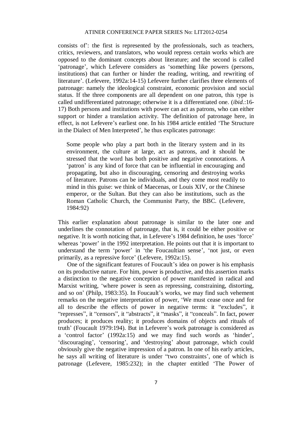consists of': the first is represented by the professionals, such as teachers, critics, reviewers, and translators, who would repress certain works which are opposed to the dominant concepts about literature; and the second is called 'patronage', which Lefevere considers as 'something like powers (persons, institutions) that can further or hinder the reading, writing, and rewriting of literature'. (Lefevere, 1992a:14-15) Lefevere further clarifies three elements of patronage: namely the ideological constraint, economic provision and social status. If the three components are all dependent on one patron, this type is called undifferentiated patronage; otherwise it is a differentiated one. (*ibid.*:16- 17) Both persons and institutions with power can act as patrons, who can either support or hinder a translation activity. The definition of patronage here, in effect, is not Lefevere's earliest one. In his 1984 article entitled 'The Structure in the Dialect of Men Interpreted', he thus explicates patronage:

Some people who play a part both in the literary system and in its environment, the culture at large, act as patrons, and it should be stressed that the word has both positive and negative connotations. A 'patron' is any kind of force that can be influential in encouraging and propagating, but also in discouraging, censoring and destroying works of literature. Patrons can be individuals, and they come most readily to mind in this guise: we think of Maecenas, or Louis XIV, or the Chinese emperor, or the Sultan. But they can also be institutions, such as the Roman Catholic Church, the Communist Party, the BBC. (Lefevere, 1984:92)

This earlier explanation about patronage is similar to the later one and underlines the connotation of patronage, that is, it could be either positive or negative. It is worth noticing that, in Lefevere's 1984 definition, he uses 'force' whereas 'power' in the 1992 interpretation. He points out that it is important to understand the term 'power' in 'the Foucaultian sense', 'not just, or even primarily, as a repressive force' (Lefevere, 1992a:15).

One of the significant features of Foucault's idea on power is his emphasis on its productive nature. For him, power is productive, and this assertion marks a distinction to the negative conception of power manifested in radical and Marxist writing, 'where power is seen as repressing, constraining, distorting, and so on' (Philp, 1983:35). In Foucault's works, we may find such vehement remarks on the negative interpretation of power, 'We must cease once and for all to describe the effects of power in negative terms: it "excludes", it "represses", it "censors", it "abstracts", it "masks", it "conceals". In fact, power produces; it produces reality; it produces domains of objects and rituals of truth' (Foucault 1979:194). But in Lefevere's work patronage is considered as a 'control factor' (1992a:15) and we may find such words as 'hinder', 'discouraging', 'censoring', and 'destroying' about patronage, which could obviously give the negative impression of a patron. In one of his early articles, he says all writing of literature is under "two constraints', one of which is patronage (Lefevere, 1985:232); in the chapter entitled 'The Power of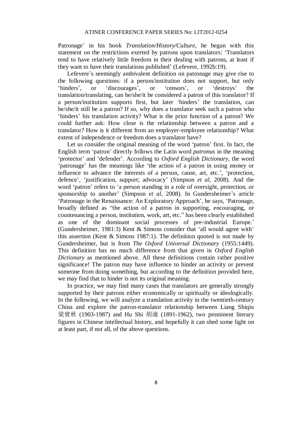Patronage' in his book *Translation/History/Culture*, he began with this statement on the restrictions exerted by patrons upon translators: 'Translators tend to have relatively little freedom in their dealing with patrons, at least if they want to have their translations published' (Lefevere, 1992b:19).

Lefevere's seemingly ambivalent definition on patronage may give rise to the following questions: if a person/institution does not support, but only 'hinders', or 'discourages', or 'censors', or 'destroys' the translation/translating, can he/she/it be considered a patron of this translator? If a person/institution supports first, but later 'hinders' the translation, can he/she/it still be a patron? If so, why does a translator seek such a patron who 'hinders' his translation activity? What is the prior function of a patron? We could further ask: How close is the relationship between a patron and a translator? How is it different from an employer-employee relationship? What extent of independence or freedom does a translator have?

Let us consider the original meaning of the word 'patron' first. In fact, the English term 'patron' directly follows the Latin word *patronus* in the meaning 'protector' and 'defender'. According to *Oxford English Dictionary*, the word 'patronage' has the meanings like 'the action of a patron in using money or influence to advance the interests of a person, cause, art, etc.', 'protection, defence', 'justification, support; advocacy' (Simpson *et al*, 2008). And the word 'patron' refers to 'a person standing in a role of oversight, protection, or sponsorship to another' (Simpson *et al*, 2008). In Gundersheimer's article 'Patronage in the Renaissance: An Exploratory Approach', he says, 'Patronage, broadly defined as "the action of a patron in supporting, encouraging, or countenancing a person, institution, work, art, etc." has been clearly established as one of the dominant social processes of pre-industrial Europe.' (Gundersheimer, 1981:3) Kent & Simons consider that 'all would agree with' this assertion (Kent & Simons 1987:1). The definition quoted is not made by Gundersheimer, but is from *The Oxford Universal Dictionary* (1955:1449). This definition has no much difference from that given in *Oxford English Dictionary* as mentioned above. All these definitions contain rather positive significance! The patron may have influence to hinder an activity or prevent someone from doing something, but according to the definition provided here, we may find that to hinder is not its original meaning.

In practice, we may find many cases that translators are generally strongly supported by their patrons either economically or spiritually or ideologically. In the following, we will analyze a translation activity in the twentieth-century China and explore the patron-translator relationship between Liang Shiqiu 梁實秋 (1903-1987) and Hu Shi 胡適 (1891-1962), two prominent literary figures in Chinese intellectual history, and hopefully it can shed some light on at least part, if not all, of the above questions.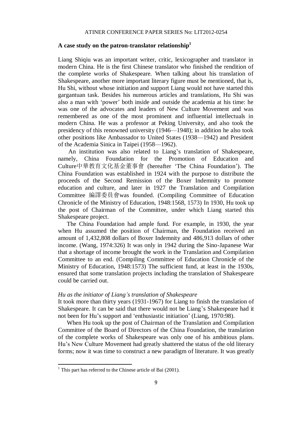### **A case study on the patron-translator relationship<sup>1</sup>**

Liang Shiqiu was an important writer, critic, lexicographer and translator in modern China. He is the first Chinese translator who finished the rendition of the complete works of Shakespeare. When talking about his translation of Shakespeare, another more important literary figure must be mentioned, that is, Hu Shi, without whose initiation and support Liang would not have started this gargantuan task. Besides his numerous articles and translations, Hu Shi was also a man with 'power' both inside and outside the academia at his time: he was one of the advocates and leaders of New Culture Movement and was remembered as one of the most prominent and influential intellectuals in modern China. He was a professor at Peking University, and also took the presidency of this renowned university (1946—1948); in addition he also took other positions like Ambassador to United States (1938—1942) and President of the Academia Sinica in Taipei (1958—1962).

An institution was also related to Liang's translation of Shakespeare, namely, China Foundation for the Promotion of Education and Culture中華教育文化基金董事會 (hereafter 'The China Foundation'). The China Foundation was established in 1924 with the purpose to distribute the proceeds of the Second Remission of the Boxer Indemnity to promote education and culture, and later in 1927 the Translation and Compilation Committee 編譯委員會was founded. (Compiling Committee of Education Chronicle of the Ministry of Education, 1948:1568, 1573) In 1930, Hu took up the post of Chairman of the Committee, under which Liang started this Shakespeare project.

The China Foundation had ample fund. For example, in 1930, the year when Hu assumed the position of Chairman, the Foundation received an amount of 1,432,808 dollars of Boxer Indemnity and 486,913 dollars of other income. (Wang, 1974:326) It was only in 1942 during the Sino-Japanese War that a shortage of income brought the work in the Translation and Compilation Committee to an end. (Compiling Committee of Education Chronicle of the Ministry of Education, 1948:1573) The sufficient fund, at least in the 1930s, ensured that some translation projects including the translation of Shakespeare could be carried out.

#### *Hu as the initiator of Liang's translation of Shakespeare*

It took more than thirty years (1931-1967) for Liang to finish the translation of Shakespeare. It can be said that there would not be Liang's Shakespeare had it not been for Hu's support and 'enthusiastic initiation' (Liang, 1970:98).

When Hu took up the post of Chairman of the Translation and Compilation Committee of the Board of Directors of the China Foundation, the translation of the complete works of Shakespeare was only one of his ambitious plans. Hu's New Culture Movement had greatly shattered the status of the old literary forms; now it was time to construct a new paradigm of literature. It was greatly

**.** 

 $1$  This part has referred to the Chinese article of Bai (2001).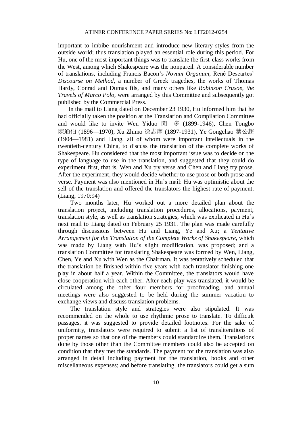important to imbibe nourishment and introduce new literary styles from the outside world; thus translation played an essential role during this period. For Hu, one of the most important things was to translate the first-class works from the West, among which Shakespeare was the nonpareil. A considerable number of translations, including Francis Bacon's *Novum Organum*, René Descartes' *Discourse on Method*, a number of Greek tragedies, the works of Thomas Hardy, Conrad and Dumas fils, and many others like *Robinson Crusoe, the Travels of Marco Polo,* were arranged by this Committee and subsequently got published by the Commercial Press.

In the mail to Liang dated on December 23 1930, Hu informed him that he had officially taken the position at the Translation and Compilation Committee and would like to invite Wen Yiduo 聞一多 (1899-1946), Chen Tongbo 陳通伯 (1896—1970), Xu Zhimo 徐志摩 (1897-1931), Ye Gongchao 葉公超 (1904—1981) and Liang, all of whom were important intellectuals in the twentieth-century China, to discuss the translation of the complete works of Shakespeare. Hu considered that the most important issue was to decide on the type of language to use in the translation, and suggested that they could do experiment first, that is, Wen and Xu try verse and Chen and Liang try prose. After the experiment, they would decide whether to use prose or both prose and verse. Payment was also mentioned in Hu's mail: Hu was optimistic about the sell of the translation and offered the translators the highest rate of payment. (Liang, 1970:94)

Two months later, Hu worked out a more detailed plan about the translation project, including translation procedures, allocations, payment, translation style, as well as translation strategies, which was explicated in Hu's next mail to Liang dated on February 25 1931. The plan was made carefully through discussions between Hu and Liang, Ye and Xu; a *Tentative Arrangement for the Translation of the Complete Works of Shakespeare*, which was made by Liang with Hu's slight modification, was proposed; and a translation Committee for translating Shakespeare was formed by Wen, Liang, Chen, Ye and Xu with Wen as the Chairman. It was tentatively scheduled that the translation be finished within five years with each translator finishing one play in about half a year. Within the Committee, the translators would have close cooperation with each other. After each play was translated, it would be circulated among the other four members for proofreading, and annual meetings were also suggested to be held during the summer vacation to exchange views and discuss translation problems.

The translation style and strategies were also stipulated. It was recommended on the whole to use rhythmic prose to translate. To difficult passages, it was suggested to provide detailed footnotes. For the sake of uniformity, translators were required to submit a list of transliterations of proper names so that one of the members could standardize them. Translations done by those other than the Committee members could also be accepted on condition that they met the standards. The payment for the translation was also arranged in detail including payment for the translation, books and other miscellaneous expenses; and before translating, the translators could get a sum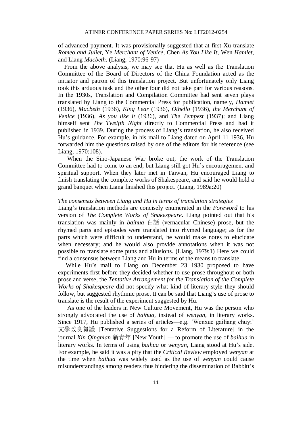of advanced payment. It was provisionally suggested that at first Xu translate *Romeo and Juliet*, Ye *Merchant of Venice*, Chen *As You Like It*, Wen *Hamlet*, and Liang *Macbeth*. (Liang, 1970:96-97)

 From the above analysis, we may see that Hu as well as the Translation Committee of the Board of Directors of the China Foundation acted as the initiator and patron of this translation project. But unfortunately only Liang took this arduous task and the other four did not take part for various reasons. In the 1930s, Translation and Compilation Committee had sent seven plays translated by Liang to the Commercial Press for publication, namely, *Hamlet* (1936)*, Macbeth* (1936)*, King Lear* (1936)*, Othello* (1936)*, the Merchant of Venice* (1936)*, As you like it* (1936), and *The Tempest* (1937); and Liang himself sent *The Twelfth Night* directly to Commercial Press and had it published in 1939. During the process of Liang's translation, he also received Hu's guidance. For example, in his mail to Liang dated on April 11 1936, Hu forwarded him the questions raised by one of the editors for his reference (see Liang, 1970:108).

When the Sino-Japanese War broke out, the work of the Translation Committee had to come to an end, but Liang still got Hu's encouragement and spiritual support. When they later met in Taiwan, Hu encouraged Liang to finish translating the complete works of Shakespeare, and said he would hold a grand banquet when Liang finished this project. (Liang, 1989a:20)

#### *The consensus between Liang and Hu in terms of translation strategies*

Liang's translation methods are concisely enumerated in the *Foreword* to his version of *The Complete Works of Shakespeare*. Liang pointed out that his translation was mainly in *baihua* 白話 (vernacular Chinese) prose, but the rhymed parts and episodes were translated into rhymed language; as for the parts which were difficult to understand, he would make notes to elucidate when necessary; and he would also provide annotations when it was not possible to translate some puns and allusions. (Liang, 1979:1) Here we could find a consensus between Liang and Hu in terms of the means to translate.

While Hu's mail to Liang on December 23 1930 proposed to have experiments first before they decided whether to use prose throughout or both prose and verse, the *Tentative Arrangement for the Translation of the Complete Works of Shakespeare* did not specify what kind of literary style they should follow, but suggested rhythmic prose. It can be said that Liang's use of prose to translate is the result of the experiment suggested by Hu.

As one of the leaders in New Culture Movement, Hu was the person who strongly advocated the use of *baihua*, instead of *wenyan*, in literary works. Since 1917, Hu published a series of articles—e.g. 'Wenxue gailiang chuyi' 文學改良芻議 [Tentative Suggestions for a Reform of Literature] in the journal *Xin Qingnian* 新青年 [New Youth] — to promote the use of *baihua* in literary works. In terms of using *baihua* or *wenyan*, Liang stood at Hu's side. For example, he said it was a pity that the *Critical Review* employed *wenyan* at the time when *baihua* was widely used as the use of *wenyan* could cause misunderstandings among readers thus hindering the dissemination of Babbitt's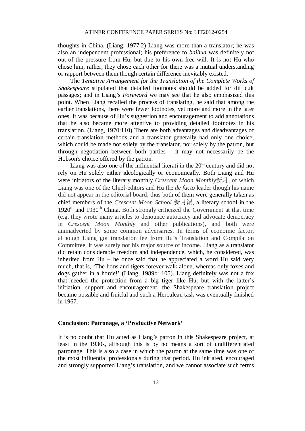thoughts in China. (Liang, 1977:2) Liang was more than a translator; he was also an independent professional; his preference to *baihua* was definitely not out of the pressure from Hu, but due to his own free will. It is not Hu who chose him, rather, they chose each other for there was a mutual understanding or rapport between them though certain difference inevitably existed.

The *Tentative Arrangement for the Translation of the Complete Works of Shakespeare* stipulated that detailed footnotes should be added for difficult passages; and in Liang's *Foreword* we may see that he also emphasized this point. When Liang recalled the process of translating, he said that among the earlier translations, there were fewer footnotes, yet more and more in the later ones. It was because of Hu's suggestion and encouragement to add annotations that he also became more attentive to providing detailed footnotes in his translation. (Liang, 1970:110) There are both advantages and disadvantages of certain translation methods and a translator generally had only one choice, which could be made not solely by the translator, nor solely by the patron, but through negotiation between both parties— it may not necessarily be the Hobson's choice offered by the patron.

Liang was also one of the influential literati in the  $20<sup>th</sup>$  century and did not rely on Hu solely either ideologically or economically. Both Liang and Hu were initiators of the literary monthly *Crescent Moon Monthly*新月, of which Liang was one of the Chief-editors and Hu the *de facto* leader though his name did not appear in the editorial board, thus both of them were generally taken as chief members of the *Crescent Moon School* 新月派, a literary school in the  $1920<sup>th</sup>$  and  $1930<sup>th</sup>$  China. Both strongly criticized the Government at that time (e.g. they wrote many articles to denounce autocracy and advocate democracy in *Crescent Moon Monthly* and other publications), and both were animadverted by some common adversaries. In terms of economic factor, although Liang got translation fee from Hu's Translation and Compilation Committee, it was surely not his major source of income. Liang as a translator did retain considerable freedom and independence, which, he considered, was inherited from Hu – he once said that he appreciated a word Hu said very much, that is, 'The lions and tigers forever walk alone, whereas only foxes and dogs gather in a horde!' (Liang, 1989b: 105). Liang definitely was not a fox that needed the protection from a big tiger like Hu, but with the latter's initiation, support and encouragement, the Shakespeare translation project became possible and fruitful and such a Herculean task was eventually finished in 1967.

#### **Conclusion: Patronage, a 'Productive Network'**

It is no doubt that Hu acted as Liang's patron in this Shakespeare project, at least in the 1930s, although this is by no means a sort of undifferentiated patronage. This is also a case in which the patron at the same time was one of the most influential professionals during that period. Hu initiated, encouraged and strongly supported Liang's translation, and we cannot associate such terms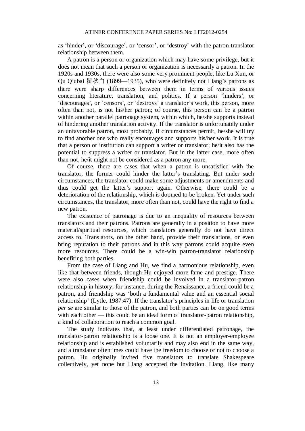as 'hinder', or 'discourage', or 'censor', or 'destroy' with the patron-translator relationship between them.

A patron is a person or organization which may have some privilege, but it does not mean that such a person or organization is necessarily a patron. In the 1920s and 1930s, there were also some very prominent people, like Lu Xun, or Qu Qiubai 瞿秋白 (1899—1935), who were definitely not Liang's patrons as there were sharp differences between them in terms of various issues concerning literature, translation, and politics. If a person 'hinders', or 'discourages', or 'censors', or 'destroys' a translator's work, this person, more often than not, is not his/her patron; of course, this person can be a patron within another parallel patronage system, within which, he/she supports instead of hindering another translation activity. If the translator is unfortunately under an unfavorable patron, most probably, if circumstances permit, he/she will try to find another one who really encourages and supports his/her work. It is true that a person or institution can support a writer or translator; he/it also has the potential to suppress a writer or translator. But in the latter case, more often than not, he/it might not be considered as a patron any more.

Of course, there are cases that when a patron is unsatisfied with the translator, the former could hinder the latter's translating. But under such circumstances, the translator could make some adjustments or amendments and thus could get the latter's support again. Otherwise, there could be a deterioration of the relationship, which is doomed to be broken. Yet under such circumstances, the translator, more often than not, could have the right to find a new patron.

The existence of patronage is due to an inequality of resources between translators and their patrons. Patrons are generally in a position to have more material/spiritual resources, which translators generally do not have direct access to. Translators, on the other hand, provide their translations, or even bring reputation to their patrons and in this way patrons could acquire even more resources. There could be a win-win patron-translator relationship benefiting both parties.

From the case of Liang and Hu, we find a harmonious relationship, even like that between friends, though Hu enjoyed more fame and prestige. There were also cases when friendship could be involved in a translator-patron relationship in history; for instance, during the Renaissance, a friend could be a patron, and friendship was 'both a fundamental value and an essential social relationship' (Lytle, 1987:47). If the translator's principles in life or translation *per se* are similar to those of the patron, and both parties can be on good terms with each other — this could be an ideal form of translator-patron relationship, a kind of collaboration to reach a common goal.

The study indicates that, at least under differentiated patronage, the translator-patron relationship is a loose one. It is not an employer-employee relationship and is established voluntarily and may also end in the same way, and a translator oftentimes could have the freedom to choose or not to choose a patron. Hu originally invited five translators to translate Shakespeare collectively, yet none but Liang accepted the invitation. Liang, like many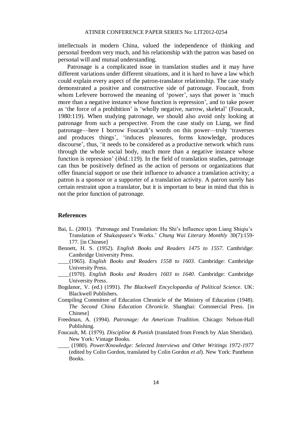intellectuals in modern China, valued the independence of thinking and personal freedom very much, and his relationship with the patron was based on personal will and mutual understanding.

Patronage is a complicated issue in translation studies and it may have different variations under different situations, and it is hard to have a law which could explain every aspect of the patron-translator relationship. The case study demonstrated a positive and constructive side of patronage. Foucault, from whom Lefevere borrowed the meaning of 'power', says that power is 'much more than a negative instance whose function is repression', and to take power as 'the force of a prohibition' is 'wholly negative, narrow, skeletal' (Foucault, 1980:119). When studying patronage, we should also avoid only looking at patronage from such a perspective. From the case study on Liang, we find patronage—here I borrow Foucault's words on this power—truly 'traverses and produces things', 'induces pleasures, forms knowledge, produces discourse', thus, 'it needs to be considered as a productive network which runs through the whole social body, much more than a negative instance whose function is repression' (*ibid.*:119). In the field of translation studies, patronage can thus be positively defined as the action of persons or organizations that offer financial support or use their influence to advance a translation activity; a patron is a sponsor or a supporter of a translation activity. A patron surely has certain restraint upon a translator, but it is important to bear in mind that this is not the prior function of patronage.

#### **References**

- Bai, L. (2001). 'Patronage and Translation: Hu Shi's Influence upon Liang Shiqiu's Translation of Shakespeare's Works.' *Chung Wai Literary Monthly* 30(7):159- 177. [in Chinese]
- Bennett, H. S. (1952). *English Books and Readers 1475 to 1557*. Cambridge: Cambridge University Press.
- \_\_\_\_(1965). *English Books and Readers 1558 to 1603*. Cambridge: Cambridge University Press.
- \_\_\_\_(1970). *English Books and Readers 1603 to 1640*. Cambridge: Cambridge University Press.
- Bogdanor, V. (ed.) (1991). *The Blackwell Encyclopaedia of Political Science*. UK: Blackwell Publishers.
- Compiling Committee of Education Chronicle of the Ministry of Education (1948). *The Second China Education Chronicle*. Shanghai: Commercial Press. [in Chinese]
- Freedman, A. (1994). *Patronage: An American Tradition*. Chicago: Nelson-Hall Publishing.
- Foucault, M. (1979). *Discipline & Punish* (translated from French by Alan Sheridan). New York: Vintage Books.
- \_\_\_\_ (1980). *Power/Knowledge: Selected Interviews and Other Writings 1972-1977* (edited by Colin Gordon, translated by Colin Gordon *et al*). New York: Pantheon Books.